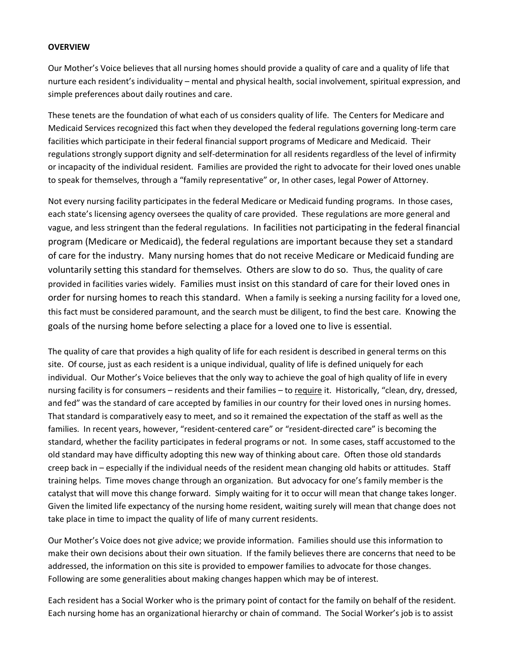## **OVERVIEW**

Our Mother's Voice believes that all nursing homes should provide a quality of care and a quality of life that nurture each resident's individuality – mental and physical health, social involvement, spiritual expression, and simple preferences about daily routines and care.

These tenets are the foundation of what each of us considers quality of life. The Centers for Medicare and Medicaid Services recognized this fact when they developed the federal regulations governing long-term care facilities which participate in their federal financial support programs of Medicare and Medicaid. Their regulations strongly support dignity and self-determination for all residents regardless of the level of infirmity or incapacity of the individual resident. Families are provided the right to advocate for their loved ones unable to speak for themselves, through a "family representative" or, In other cases, legal Power of Attorney.

Not every nursing facility participates in the federal Medicare or Medicaid funding programs. In those cases, each state's licensing agency oversees the quality of care provided. These regulations are more general and vague, and less stringent than the federal regulations. In facilities not participating in the federal financial program (Medicare or Medicaid), the federal regulations are important because they set a standard of care for the industry. Many nursing homes that do not receive Medicare or Medicaid funding are voluntarily setting this standard for themselves. Others are slow to do so. Thus, the quality of care provided in facilities varies widely. Families must insist on this standard of care for their loved ones in order for nursing homes to reach this standard. When a family is seeking a nursing facility for a loved one, this fact must be considered paramount, and the search must be diligent, to find the best care. Knowing the goals of the nursing home before selecting a place for a loved one to live is essential.

The quality of care that provides a high quality of life for each resident is described in general terms on this site. Of course, just as each resident is a unique individual, quality of life is defined uniquely for each individual. Our Mother's Voice believes that the only way to achieve the goal of high quality of life in every nursing facility is for consumers – residents and their families – to require it. Historically, "clean, dry, dressed, and fed" was the standard of care accepted by families in our country for their loved ones in nursing homes. That standard is comparatively easy to meet, and so it remained the expectation of the staff as well as the families. In recent years, however, "resident-centered care" or "resident-directed care" is becoming the standard, whether the facility participates in federal programs or not. In some cases, staff accustomed to the old standard may have difficulty adopting this new way of thinking about care. Often those old standards creep back in – especially if the individual needs of the resident mean changing old habits or attitudes. Staff training helps. Time moves change through an organization. But advocacy for one's family member is the catalyst that will move this change forward. Simply waiting for it to occur will mean that change takes longer. Given the limited life expectancy of the nursing home resident, waiting surely will mean that change does not take place in time to impact the quality of life of many current residents.

Our Mother's Voice does not give advice; we provide information. Families should use this information to make their own decisions about their own situation. If the family believes there are concerns that need to be addressed, the information on this site is provided to empower families to advocate for those changes. Following are some generalities about making changes happen which may be of interest.

Each resident has a Social Worker who is the primary point of contact for the family on behalf of the resident. Each nursing home has an organizational hierarchy or chain of command. The Social Worker's job is to assist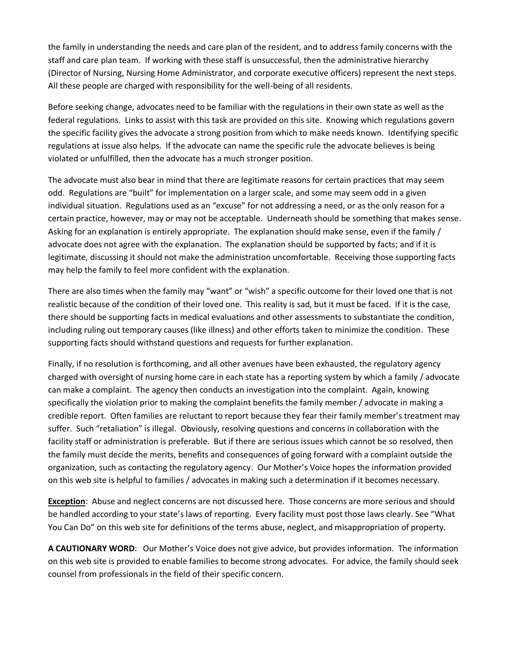the family in understanding the needs and care plan of the resident, and to address family concerns with the staff and care plan team. If working with these staff is unsuccessful, then the administrative hierarchy (Director of Nursing, Nursing Home Administrator, and corporate executive officers) represent the next steps. All these people are charged with responsibility for the well-being of all residents.

Before seeking change, advocates need to be familiar with the regulations in their own state as well as the federal regulations. Links to assist with this task are provided on this site. Knowing which regulations govern the specific facility gives the advocate a strong position from which to make needs known. Identifying specific regulations at issue also helps. If the advocate can name the specific rule the advocate believes is being violated or unfulfilled, then the advocate has a much stronger position.

The advocate must also bear in mind that there are legitimate reasons for certain practices that may seem odd. Regulations are "built" for implementation on a larger scale, and some may seem odd in a given individual situation. Regulations used as an "excuse" for not addressing a need, or as the only reason for a certain practice, however, may or may not be acceptable. Underneath should be something that makes sense. Asking for an explanation is entirely appropriate. The explanation should make sense, even if the family / advocate does not agree with the explanation. The explanation should be supported by facts; and if it is legitimate, discussing it should not make the administration uncomfortable. Receiving those supporting facts may help the family to feel more confident with the explanation.

There are also times when the family may "want" or "wish" a specific outcome for their loved one that is not realistic because of the condition of their loved one. This reality is sad, but it must be faced. If it is the case, there should be supporting facts in medical evaluations and other assessments to substantiate the condition, including ruling out temporary causes (like illness) and other efforts taken to minimize the condition. These supporting facts should withstand questions and requests for further explanation.

Finally, if no resolution is forthcoming, and all other avenues have been exhausted, the regulatory agency charged with oversight of nursing home care in each state has a reporting system by which a family / advocate can make a complaint. The agency then conducts an investigation into the complaint. Again, knowing specifically the violation prior to making the complaint benefits the family member / advocate in making a credible report. Often families are reluctant to report because they fear their family member's treatment may suffer. Such "retaliation" is illegal. Obviously, resolving questions and concerns in collaboration with the facility staff or administration is preferable. But if there are serious issues which cannot be so resolved, then the family must decide the merits, benefits and consequences of going forward with a complaint outside the organization, such as contacting the regulatory agency. Our Mother's Voice hopes the information provided on this web site is helpful to families / advocates in making such a determination if it becomes necessary.

**Exception**: Abuse and neglect concerns are not discussed here. Those concerns are more serious and should be handled according to your state's laws of reporting. Every facility must post those laws clearly. See "What You Can Do" on this web site for definitions of the terms abuse, neglect, and misappropriation of property.

**A CAUTIONARY WORD**: Our Mother's Voice does not give advice, but provides information. The information on this web site is provided to enable families to become strong advocates. For advice, the family should seek counsel from professionals in the field of their specific concern.